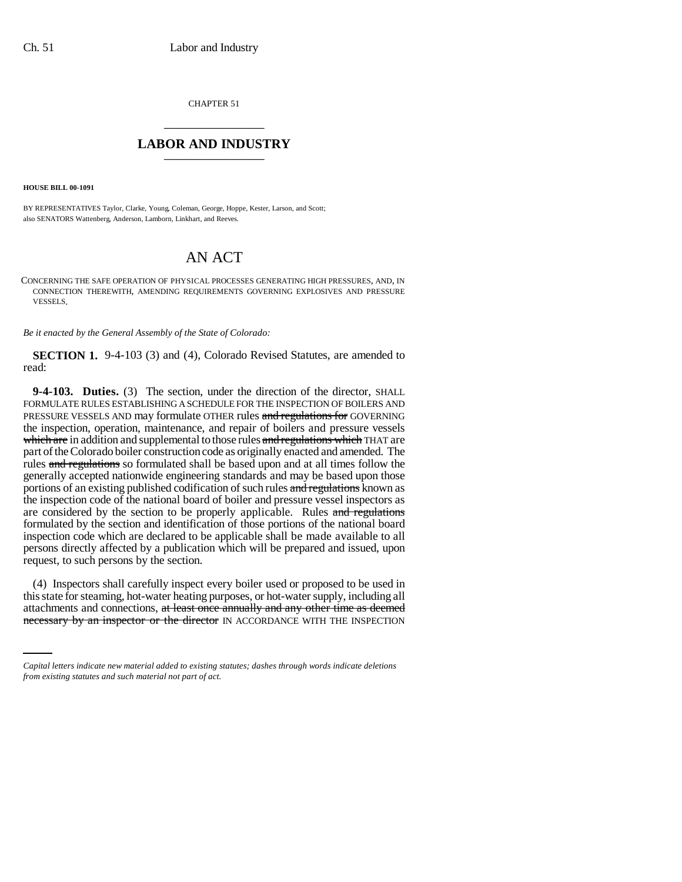CHAPTER 51 \_\_\_\_\_\_\_\_\_\_\_\_\_\_\_

## **LABOR AND INDUSTRY** \_\_\_\_\_\_\_\_\_\_\_\_\_\_\_

**HOUSE BILL 00-1091** 

BY REPRESENTATIVES Taylor, Clarke, Young, Coleman, George, Hoppe, Kester, Larson, and Scott; also SENATORS Wattenberg, Anderson, Lamborn, Linkhart, and Reeves.

## AN ACT

CONCERNING THE SAFE OPERATION OF PHYSICAL PROCESSES GENERATING HIGH PRESSURES, AND, IN CONNECTION THEREWITH, AMENDING REQUIREMENTS GOVERNING EXPLOSIVES AND PRESSURE VESSELS.

*Be it enacted by the General Assembly of the State of Colorado:*

**SECTION 1.** 9-4-103 (3) and (4), Colorado Revised Statutes, are amended to read:

**9-4-103. Duties.** (3) The section, under the direction of the director, SHALL FORMULATE RULES ESTABLISHING A SCHEDULE FOR THE INSPECTION OF BOILERS AND PRESSURE VESSELS AND may formulate OTHER rules and regulations for GOVERNING the inspection, operation, maintenance, and repair of boilers and pressure vessels which are in addition and supplemental to those rules and regulations which THAT are part of the Colorado boiler construction code as originally enacted and amended. The rules and regulations so formulated shall be based upon and at all times follow the generally accepted nationwide engineering standards and may be based upon those portions of an existing published codification of such rules and regulations known as the inspection code of the national board of boiler and pressure vessel inspectors as are considered by the section to be properly applicable. Rules and regulations formulated by the section and identification of those portions of the national board inspection code which are declared to be applicable shall be made available to all persons directly affected by a publication which will be prepared and issued, upon request, to such persons by the section.

this state for steaming, hot-water heating purposes, or hot-water supply, including all (4) Inspectors shall carefully inspect every boiler used or proposed to be used in attachments and connections, at least once annually and any other time as deemed necessary by an inspector or the director IN ACCORDANCE WITH THE INSPECTION

*Capital letters indicate new material added to existing statutes; dashes through words indicate deletions from existing statutes and such material not part of act.*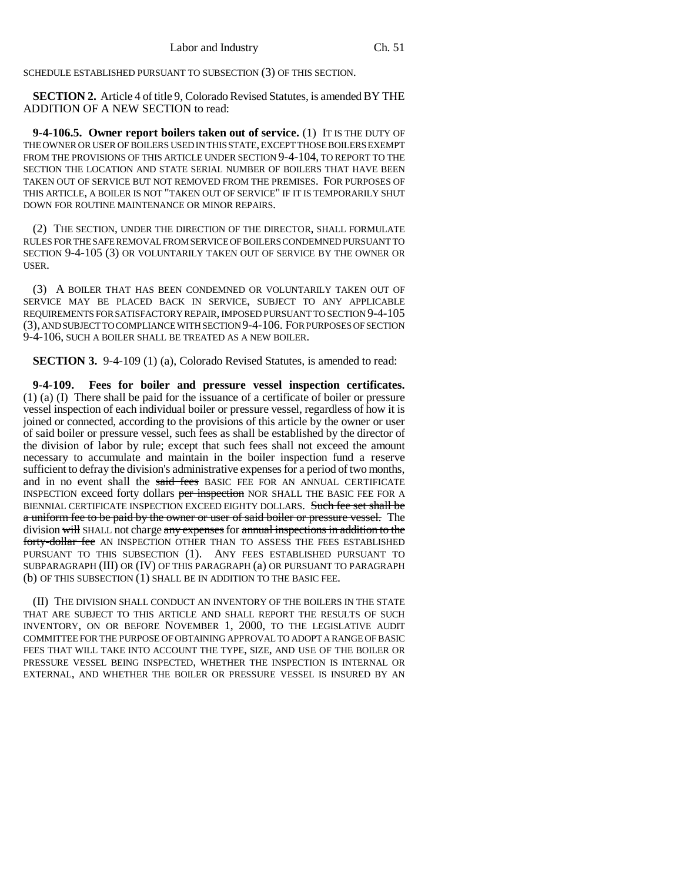SCHEDULE ESTABLISHED PURSUANT TO SUBSECTION (3) OF THIS SECTION.

**SECTION 2.** Article 4 of title 9, Colorado Revised Statutes, is amended BY THE ADDITION OF A NEW SECTION to read:

**9-4-106.5. Owner report boilers taken out of service.** (1) IT IS THE DUTY OF THE OWNER OR USER OF BOILERS USED IN THIS STATE, EXCEPT THOSE BOILERS EXEMPT FROM THE PROVISIONS OF THIS ARTICLE UNDER SECTION 9-4-104, TO REPORT TO THE SECTION THE LOCATION AND STATE SERIAL NUMBER OF BOILERS THAT HAVE BEEN TAKEN OUT OF SERVICE BUT NOT REMOVED FROM THE PREMISES. FOR PURPOSES OF THIS ARTICLE, A BOILER IS NOT "TAKEN OUT OF SERVICE" IF IT IS TEMPORARILY SHUT DOWN FOR ROUTINE MAINTENANCE OR MINOR REPAIRS.

(2) THE SECTION, UNDER THE DIRECTION OF THE DIRECTOR, SHALL FORMULATE RULES FOR THE SAFE REMOVAL FROM SERVICE OF BOILERS CONDEMNED PURSUANT TO SECTION 9-4-105 (3) OR VOLUNTARILY TAKEN OUT OF SERVICE BY THE OWNER OR USER.

(3) A BOILER THAT HAS BEEN CONDEMNED OR VOLUNTARILY TAKEN OUT OF SERVICE MAY BE PLACED BACK IN SERVICE, SUBJECT TO ANY APPLICABLE REQUIREMENTS FOR SATISFACTORY REPAIR, IMPOSED PURSUANT TO SECTION 9-4-105 (3), AND SUBJECT TO COMPLIANCE WITH SECTION 9-4-106. FOR PURPOSES OF SECTION 9-4-106, SUCH A BOILER SHALL BE TREATED AS A NEW BOILER.

**SECTION 3.** 9-4-109 (1) (a), Colorado Revised Statutes, is amended to read:

**9-4-109. Fees for boiler and pressure vessel inspection certificates.** (1) (a) (I) There shall be paid for the issuance of a certificate of boiler or pressure vessel inspection of each individual boiler or pressure vessel, regardless of how it is joined or connected, according to the provisions of this article by the owner or user of said boiler or pressure vessel, such fees as shall be established by the director of the division of labor by rule; except that such fees shall not exceed the amount necessary to accumulate and maintain in the boiler inspection fund a reserve sufficient to defray the division's administrative expenses for a period of two months, and in no event shall the said fees BASIC FEE FOR AN ANNUAL CERTIFICATE INSPECTION exceed forty dollars per inspection NOR SHALL THE BASIC FEE FOR A BIENNIAL CERTIFICATE INSPECTION EXCEED EIGHTY DOLLARS. Such fee set shall be a uniform fee to be paid by the owner or user of said boiler or pressure vessel. The division will SHALL not charge any expenses for annual inspections in addition to the forty-dollar fee AN INSPECTION OTHER THAN TO ASSESS THE FEES ESTABLISHED PURSUANT TO THIS SUBSECTION (1). ANY FEES ESTABLISHED PURSUANT TO SUBPARAGRAPH (III) OR (IV) OF THIS PARAGRAPH (a) OR PURSUANT TO PARAGRAPH (b) OF THIS SUBSECTION (1) SHALL BE IN ADDITION TO THE BASIC FEE.

(II) THE DIVISION SHALL CONDUCT AN INVENTORY OF THE BOILERS IN THE STATE THAT ARE SUBJECT TO THIS ARTICLE AND SHALL REPORT THE RESULTS OF SUCH INVENTORY, ON OR BEFORE NOVEMBER 1, 2000, TO THE LEGISLATIVE AUDIT COMMITTEE FOR THE PURPOSE OF OBTAINING APPROVAL TO ADOPT A RANGE OF BASIC FEES THAT WILL TAKE INTO ACCOUNT THE TYPE, SIZE, AND USE OF THE BOILER OR PRESSURE VESSEL BEING INSPECTED, WHETHER THE INSPECTION IS INTERNAL OR EXTERNAL, AND WHETHER THE BOILER OR PRESSURE VESSEL IS INSURED BY AN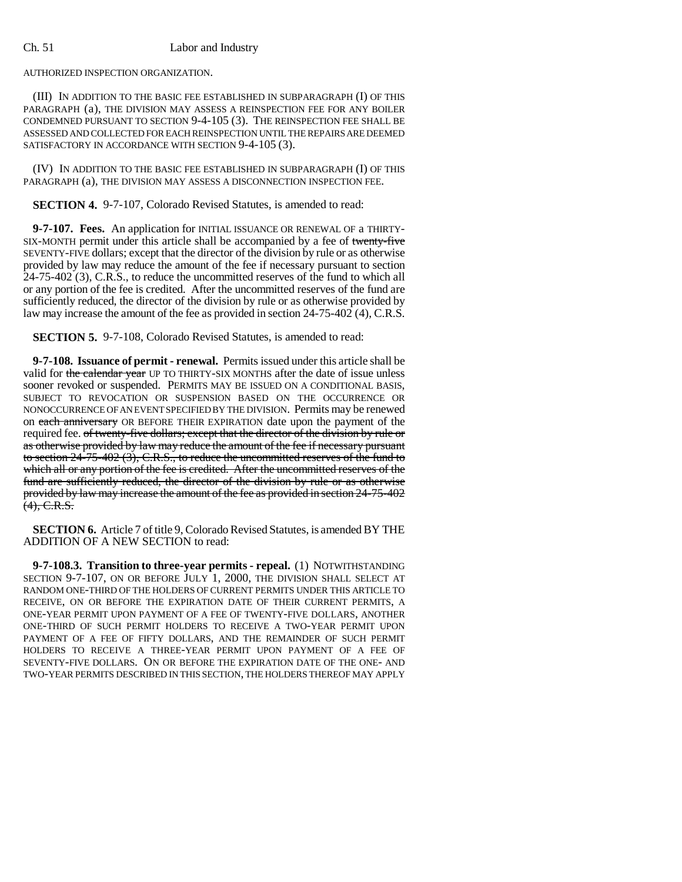## Ch. 51 Labor and Industry

AUTHORIZED INSPECTION ORGANIZATION.

(III) IN ADDITION TO THE BASIC FEE ESTABLISHED IN SUBPARAGRAPH (I) OF THIS PARAGRAPH (a), THE DIVISION MAY ASSESS A REINSPECTION FEE FOR ANY BOILER CONDEMNED PURSUANT TO SECTION 9-4-105 (3). THE REINSPECTION FEE SHALL BE ASSESSED AND COLLECTED FOR EACH REINSPECTION UNTIL THE REPAIRS ARE DEEMED SATISFACTORY IN ACCORDANCE WITH SECTION 9-4-105 (3).

(IV) IN ADDITION TO THE BASIC FEE ESTABLISHED IN SUBPARAGRAPH (I) OF THIS PARAGRAPH (a), THE DIVISION MAY ASSESS A DISCONNECTION INSPECTION FEE.

**SECTION 4.** 9-7-107, Colorado Revised Statutes, is amended to read:

**9-7-107. Fees.** An application for INITIAL ISSUANCE OR RENEWAL OF a THIRTY-SIX-MONTH permit under this article shall be accompanied by a fee of twenty-five SEVENTY-FIVE dollars; except that the director of the division by rule or as otherwise provided by law may reduce the amount of the fee if necessary pursuant to section 24-75-402 (3), C.R.S., to reduce the uncommitted reserves of the fund to which all or any portion of the fee is credited. After the uncommitted reserves of the fund are sufficiently reduced, the director of the division by rule or as otherwise provided by law may increase the amount of the fee as provided in section 24-75-402 (4), C.R.S.

**SECTION 5.** 9-7-108, Colorado Revised Statutes, is amended to read:

**9-7-108. Issuance of permit - renewal.** Permits issued under this article shall be valid for the calendar year UP TO THIRTY-SIX MONTHS after the date of issue unless sooner revoked or suspended. PERMITS MAY BE ISSUED ON A CONDITIONAL BASIS, SUBJECT TO REVOCATION OR SUSPENSION BASED ON THE OCCURRENCE OR NONOCCURRENCE OF AN EVENT SPECIFIED BY THE DIVISION. Permits may be renewed on each anniversary OR BEFORE THEIR EXPIRATION date upon the payment of the required fee. of twenty-five dollars; except that the director of the division by rule or as otherwise provided by law may reduce the amount of the fee if necessary pursuant to section  $24-75-402$  (3), C.R.S., to reduce the uncommitted reserves of the fund to which all or any portion of the fee is credited. After the uncommitted reserves of the fund are sufficiently reduced, the director of the division by rule or as otherwise provided by law may increase the amount of the fee as provided in section 24-75-402  $(4)$ , C.R.S.

**SECTION 6.** Article 7 of title 9, Colorado Revised Statutes, is amended BY THE ADDITION OF A NEW SECTION to read:

**9-7-108.3. Transition to three-year permits - repeal.** (1) NOTWITHSTANDING SECTION 9-7-107, ON OR BEFORE JULY 1, 2000, THE DIVISION SHALL SELECT AT RANDOM ONE-THIRD OF THE HOLDERS OF CURRENT PERMITS UNDER THIS ARTICLE TO RECEIVE, ON OR BEFORE THE EXPIRATION DATE OF THEIR CURRENT PERMITS, A ONE-YEAR PERMIT UPON PAYMENT OF A FEE OF TWENTY-FIVE DOLLARS, ANOTHER ONE-THIRD OF SUCH PERMIT HOLDERS TO RECEIVE A TWO-YEAR PERMIT UPON PAYMENT OF A FEE OF FIFTY DOLLARS, AND THE REMAINDER OF SUCH PERMIT HOLDERS TO RECEIVE A THREE-YEAR PERMIT UPON PAYMENT OF A FEE OF SEVENTY-FIVE DOLLARS. ON OR BEFORE THE EXPIRATION DATE OF THE ONE- AND TWO-YEAR PERMITS DESCRIBED IN THIS SECTION, THE HOLDERS THEREOF MAY APPLY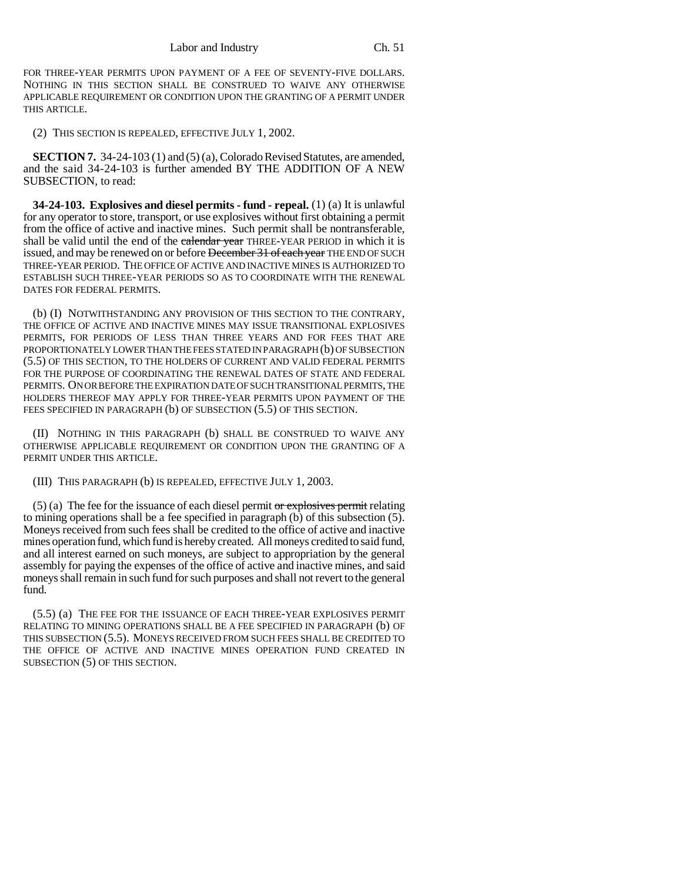FOR THREE-YEAR PERMITS UPON PAYMENT OF A FEE OF SEVENTY-FIVE DOLLARS. NOTHING IN THIS SECTION SHALL BE CONSTRUED TO WAIVE ANY OTHERWISE APPLICABLE REQUIREMENT OR CONDITION UPON THE GRANTING OF A PERMIT UNDER THIS ARTICLE.

(2) THIS SECTION IS REPEALED, EFFECTIVE JULY 1, 2002.

**SECTION 7.** 34-24-103 (1) and (5) (a), Colorado Revised Statutes, are amended, and the said 34-24-103 is further amended BY THE ADDITION OF A NEW SUBSECTION, to read:

**34-24-103. Explosives and diesel permits - fund - repeal.** (1) (a) It is unlawful for any operator to store, transport, or use explosives without first obtaining a permit from the office of active and inactive mines. Such permit shall be nontransferable, shall be valid until the end of the calendar year THREE-YEAR PERIOD in which it is issued, and may be renewed on or before December 31 of each year THE END OF SUCH THREE-YEAR PERIOD. THE OFFICE OF ACTIVE AND INACTIVE MINES IS AUTHORIZED TO ESTABLISH SUCH THREE-YEAR PERIODS SO AS TO COORDINATE WITH THE RENEWAL DATES FOR FEDERAL PERMITS.

(b) (I) NOTWITHSTANDING ANY PROVISION OF THIS SECTION TO THE CONTRARY, THE OFFICE OF ACTIVE AND INACTIVE MINES MAY ISSUE TRANSITIONAL EXPLOSIVES PERMITS, FOR PERIODS OF LESS THAN THREE YEARS AND FOR FEES THAT ARE PROPORTIONATELY LOWER THAN THE FEES STATED IN PARAGRAPH (b) OF SUBSECTION (5.5) OF THIS SECTION, TO THE HOLDERS OF CURRENT AND VALID FEDERAL PERMITS FOR THE PURPOSE OF COORDINATING THE RENEWAL DATES OF STATE AND FEDERAL PERMITS. ON OR BEFORE THE EXPIRATION DATE OF SUCH TRANSITIONAL PERMITS, THE HOLDERS THEREOF MAY APPLY FOR THREE-YEAR PERMITS UPON PAYMENT OF THE FEES SPECIFIED IN PARAGRAPH (b) OF SUBSECTION (5.5) OF THIS SECTION.

(II) NOTHING IN THIS PARAGRAPH (b) SHALL BE CONSTRUED TO WAIVE ANY OTHERWISE APPLICABLE REQUIREMENT OR CONDITION UPON THE GRANTING OF A PERMIT UNDER THIS ARTICLE.

(III) THIS PARAGRAPH (b) IS REPEALED, EFFECTIVE JULY 1, 2003.

 $(5)$  (a) The fee for the issuance of each diesel permit or explosives permit relating to mining operations shall be a fee specified in paragraph (b) of this subsection (5). Moneys received from such fees shall be credited to the office of active and inactive mines operation fund, which fund is hereby created. All moneys credited to said fund, and all interest earned on such moneys, are subject to appropriation by the general assembly for paying the expenses of the office of active and inactive mines, and said moneys shall remain in such fund for such purposes and shall not revert to the general fund.

(5.5) (a) THE FEE FOR THE ISSUANCE OF EACH THREE-YEAR EXPLOSIVES PERMIT RELATING TO MINING OPERATIONS SHALL BE A FEE SPECIFIED IN PARAGRAPH (b) OF THIS SUBSECTION (5.5). MONEYS RECEIVED FROM SUCH FEES SHALL BE CREDITED TO THE OFFICE OF ACTIVE AND INACTIVE MINES OPERATION FUND CREATED IN SUBSECTION (5) OF THIS SECTION.